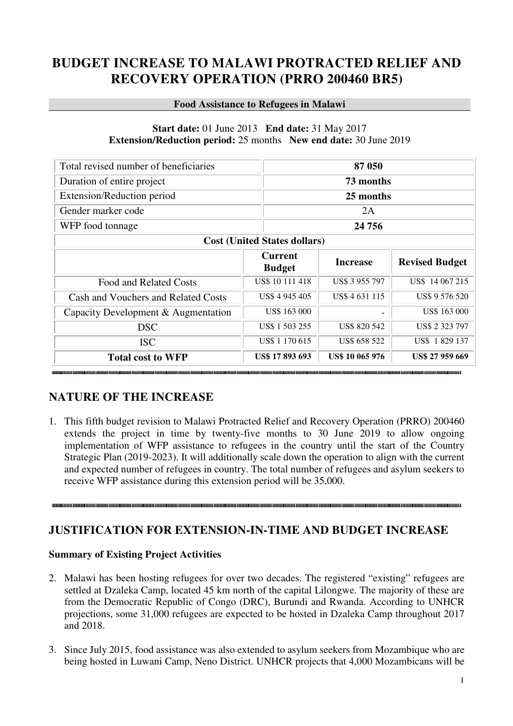# **BUDGET INCREASE TO MALAWI PROTRACTED RELIEF AND RECOVERY OPERATION (PRRO 200460 BR5)**

#### **Food Assistance to Refugees in Malawi**

#### **Start date:** 01 June 2013 **End date:** 31 May 2017 **Extension/Reduction period:** 25 months **New end date:** 30 June 2019

| Total revised number of beneficiaries |                                 | 87 050                 |                       |  |
|---------------------------------------|---------------------------------|------------------------|-----------------------|--|
| Duration of entire project            |                                 | 73 months              |                       |  |
| Extension/Reduction period            |                                 | 25 months              |                       |  |
| Gender marker code                    |                                 | 2A                     |                       |  |
| WFP food tonnage                      |                                 | 24 7 5 6               |                       |  |
| <b>Cost (United States dollars)</b>   |                                 |                        |                       |  |
|                                       | <b>Current</b><br><b>Budget</b> | <b>Increase</b>        | <b>Revised Budget</b> |  |
| Food and Related Costs                | US\$ 10 111 418                 | US\$ 3 955 797         | US\$ 14 067 215       |  |
| Cash and Vouchers and Related Costs   | US\$ 4 945 405                  | US\$ 4 631 115         | US\$ 9 576 520        |  |
| Capacity Development & Augmentation   | US\$ 163 000                    |                        | US\$ 163 000          |  |
| <b>DSC</b>                            | US\$ 1 503 255                  | US\$ 820 542           | US\$ 2 323 797        |  |
| <b>ISC</b>                            | US\$ 1 170 615                  | US\$ 658 522           | US\$ 1829 137         |  |
| <b>Total cost to WFP</b>              | US\$ 17 893 693                 | <b>US\$ 10 065 976</b> | US\$ 27 959 669       |  |

### **NATURE OF THE INCREASE**

1. This fifth budget revision to Malawi Protracted Relief and Recovery Operation (PRRO) 200460 extends the project in time by twenty-five months to 30 June 2019 to allow ongoing implementation of WFP assistance to refugees in the country until the start of the Country Strategic Plan (2019-2023). It will additionally scale down the operation to align with the current and expected number of refugees in country. The total number of refugees and asylum seekers to receive WFP assistance during this extension period will be 35,000.

### **JUSTIFICATION FOR EXTENSION-IN-TIME AND BUDGET INCREASE**

### **Summary of Existing Project Activities**

- 2. Malawi has been hosting refugees for over two decades. The registered "existing" refugees are settled at Dzaleka Camp, located 45 km north of the capital Lilongwe. The majority of these are from the Democratic Republic of Congo (DRC), Burundi and Rwanda. According to UNHCR projections, some 31,000 refugees are expected to be hosted in Dzaleka Camp throughout 2017 and 2018.
- 3. Since July 2015, food assistance was also extended to asylum seekers from Mozambique who are being hosted in Luwani Camp, Neno District. UNHCR projects that 4,000 Mozambicans will be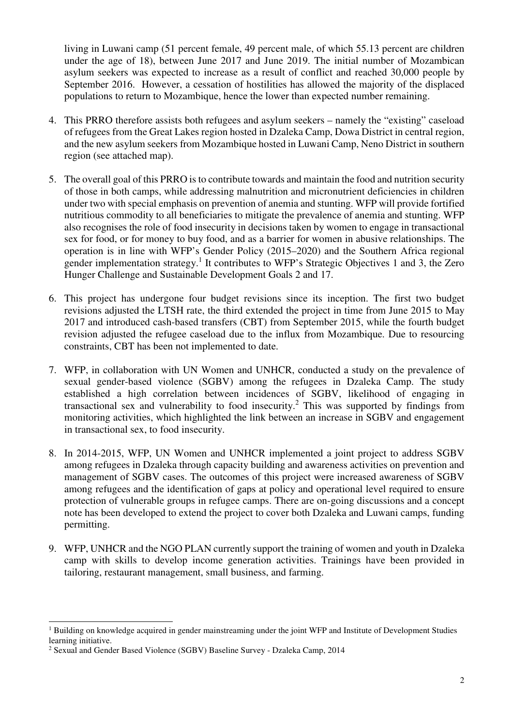living in Luwani camp (51 percent female, 49 percent male, of which 55.13 percent are children under the age of 18), between June 2017 and June 2019. The initial number of Mozambican asylum seekers was expected to increase as a result of conflict and reached 30,000 people by September 2016. However, a cessation of hostilities has allowed the majority of the displaced populations to return to Mozambique, hence the lower than expected number remaining.

- 4. This PRRO therefore assists both refugees and asylum seekers namely the "existing" caseload of refugees from the Great Lakes region hosted in Dzaleka Camp, Dowa District in central region, and the new asylum seekers from Mozambique hosted in Luwani Camp, Neno District in southern region (see attached map).
- 5. The overall goal of this PRRO is to contribute towards and maintain the food and nutrition security of those in both camps, while addressing malnutrition and micronutrient deficiencies in children under two with special emphasis on prevention of anemia and stunting. WFP will provide fortified nutritious commodity to all beneficiaries to mitigate the prevalence of anemia and stunting. WFP also recognises the role of food insecurity in decisions taken by women to engage in transactional sex for food, or for money to buy food, and as a barrier for women in abusive relationships. The operation is in line with WFP's Gender Policy (2015–2020) and the Southern Africa regional gender implementation strategy.<sup>1</sup> It contributes to WFP's Strategic Objectives 1 and 3, the Zero Hunger Challenge and Sustainable Development Goals 2 and 17.
- 6. This project has undergone four budget revisions since its inception. The first two budget revisions adjusted the LTSH rate, the third extended the project in time from June 2015 to May 2017 and introduced cash-based transfers (CBT) from September 2015, while the fourth budget revision adjusted the refugee caseload due to the influx from Mozambique. Due to resourcing constraints, CBT has been not implemented to date.
- 7. WFP, in collaboration with UN Women and UNHCR, conducted a study on the prevalence of sexual gender-based violence (SGBV) among the refugees in Dzaleka Camp. The study established a high correlation between incidences of SGBV, likelihood of engaging in transactional sex and vulnerability to food insecurity.<sup>2</sup> This was supported by findings from monitoring activities, which highlighted the link between an increase in SGBV and engagement in transactional sex, to food insecurity.
- 8. In 2014-2015, WFP, UN Women and UNHCR implemented a joint project to address SGBV among refugees in Dzaleka through capacity building and awareness activities on prevention and management of SGBV cases. The outcomes of this project were increased awareness of SGBV among refugees and the identification of gaps at policy and operational level required to ensure protection of vulnerable groups in refugee camps. There are on-going discussions and a concept note has been developed to extend the project to cover both Dzaleka and Luwani camps, funding permitting.
- 9. WFP, UNHCR and the NGO PLAN currently support the training of women and youth in Dzaleka camp with skills to develop income generation activities. Trainings have been provided in tailoring, restaurant management, small business, and farming.

<sup>&</sup>lt;sup>1</sup> Building on knowledge acquired in gender mainstreaming under the joint WFP and Institute of Development Studies learning initiative.

<sup>2</sup> Sexual and Gender Based Violence (SGBV) Baseline Survey - Dzaleka Camp, 2014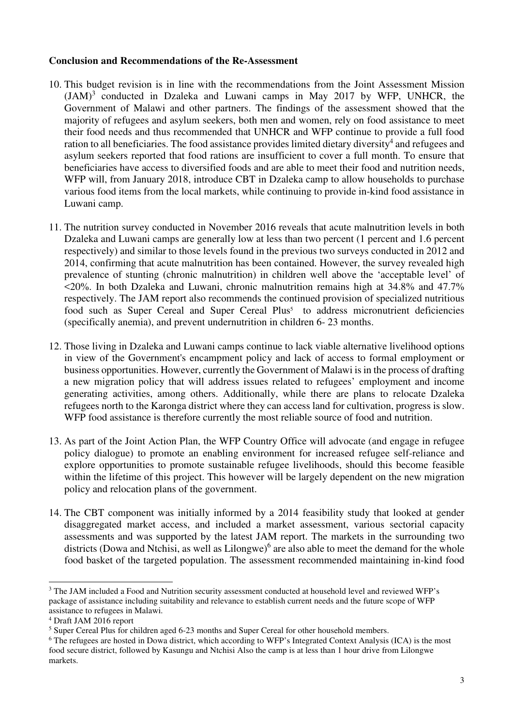#### **Conclusion and Recommendations of the Re-Assessment**

- 10. This budget revision is in line with the recommendations from the Joint Assessment Mission  $(JAM)^3$  conducted in Dzaleka and Luwani camps in May 2017 by WFP, UNHCR, the Government of Malawi and other partners. The findings of the assessment showed that the majority of refugees and asylum seekers, both men and women, rely on food assistance to meet their food needs and thus recommended that UNHCR and WFP continue to provide a full food ration to all beneficiaries. The food assistance provides limited dietary diversity<sup>4</sup> and refugees and asylum seekers reported that food rations are insufficient to cover a full month. To ensure that beneficiaries have access to diversified foods and are able to meet their food and nutrition needs, WFP will, from January 2018, introduce CBT in Dzaleka camp to allow households to purchase various food items from the local markets, while continuing to provide in-kind food assistance in Luwani camp.
- 11. The nutrition survey conducted in November 2016 reveals that acute malnutrition levels in both Dzaleka and Luwani camps are generally low at less than two percent (1 percent and 1.6 percent respectively) and similar to those levels found in the previous two surveys conducted in 2012 and 2014, confirming that acute malnutrition has been contained. However, the survey revealed high prevalence of stunting (chronic malnutrition) in children well above the 'acceptable level' of <20%. In both Dzaleka and Luwani, chronic malnutrition remains high at 34.8% and 47.7% respectively. The JAM report also recommends the continued provision of specialized nutritious food such as Super Cereal and Super Cereal Plus<sup>5</sup> to address micronutrient deficiencies (specifically anemia), and prevent undernutrition in children 6- 23 months.
- 12. Those living in Dzaleka and Luwani camps continue to lack viable alternative livelihood options in view of the Government's encampment policy and lack of access to formal employment or business opportunities. However, currently the Government of Malawi is in the process of drafting a new migration policy that will address issues related to refugees' employment and income generating activities, among others. Additionally, while there are plans to relocate Dzaleka refugees north to the Karonga district where they can access land for cultivation, progress is slow. WFP food assistance is therefore currently the most reliable source of food and nutrition.
- 13. As part of the Joint Action Plan, the WFP Country Office will advocate (and engage in refugee policy dialogue) to promote an enabling environment for increased refugee self-reliance and explore opportunities to promote sustainable refugee livelihoods, should this become feasible within the lifetime of this project. This however will be largely dependent on the new migration policy and relocation plans of the government.
- 14. The CBT component was initially informed by a 2014 feasibility study that looked at gender disaggregated market access, and included a market assessment, various sectorial capacity assessments and was supported by the latest JAM report. The markets in the surrounding two districts (Dowa and Ntchisi, as well as Lilongwe)<sup>6</sup> are also able to meet the demand for the whole food basket of the targeted population. The assessment recommended maintaining in-kind food

<sup>&</sup>lt;sup>3</sup> The JAM included a Food and Nutrition security assessment conducted at household level and reviewed WFP's package of assistance including suitability and relevance to establish current needs and the future scope of WFP assistance to refugees in Malawi.

<sup>4</sup> Draft JAM 2016 report

<sup>&</sup>lt;sup>5</sup> Super Cereal Plus for children aged 6-23 months and Super Cereal for other household members.

<sup>&</sup>lt;sup>6</sup> The refugees are hosted in Dowa district, which according to WFP's Integrated Context Analysis (ICA) is the most food secure district, followed by Kasungu and Ntchisi Also the camp is at less than 1 hour drive from Lilongwe markets.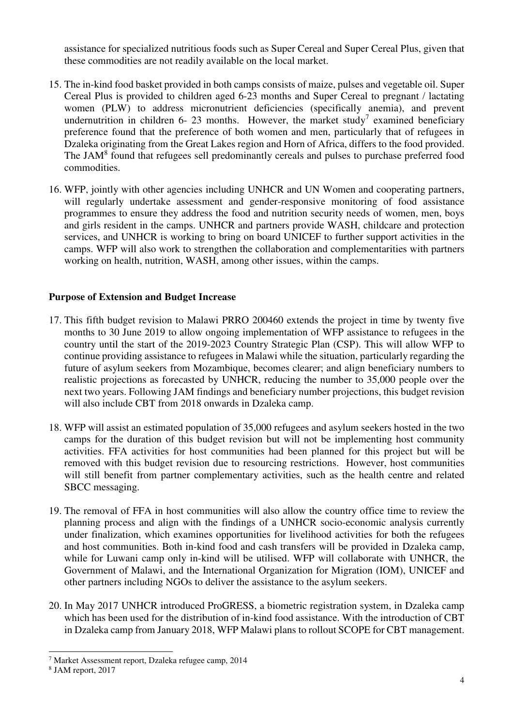assistance for specialized nutritious foods such as Super Cereal and Super Cereal Plus, given that these commodities are not readily available on the local market.

- 15. The in-kind food basket provided in both camps consists of maize, pulses and vegetable oil. Super Cereal Plus is provided to children aged 6-23 months and Super Cereal to pregnant / lactating women (PLW) to address micronutrient deficiencies (specifically anemia), and prevent undernutrition in children 6-23 months. However, the market study<sup>7</sup> examined beneficiary preference found that the preference of both women and men, particularly that of refugees in Dzaleka originating from the Great Lakes region and Horn of Africa, differs to the food provided. The JAM<sup>8</sup> found that refugees sell predominantly cereals and pulses to purchase preferred food commodities.
- 16. WFP, jointly with other agencies including UNHCR and UN Women and cooperating partners, will regularly undertake assessment and gender-responsive monitoring of food assistance programmes to ensure they address the food and nutrition security needs of women, men, boys and girls resident in the camps. UNHCR and partners provide WASH, childcare and protection services, and UNHCR is working to bring on board UNICEF to further support activities in the camps. WFP will also work to strengthen the collaboration and complementarities with partners working on health, nutrition, WASH, among other issues, within the camps.

#### **Purpose of Extension and Budget Increase**

- 17. This fifth budget revision to Malawi PRRO 200460 extends the project in time by twenty five months to 30 June 2019 to allow ongoing implementation of WFP assistance to refugees in the country until the start of the 2019-2023 Country Strategic Plan (CSP). This will allow WFP to continue providing assistance to refugees in Malawi while the situation, particularly regarding the future of asylum seekers from Mozambique, becomes clearer; and align beneficiary numbers to realistic projections as forecasted by UNHCR, reducing the number to 35,000 people over the next two years. Following JAM findings and beneficiary number projections, this budget revision will also include CBT from 2018 onwards in Dzaleka camp.
- 18. WFP will assist an estimated population of 35,000 refugees and asylum seekers hosted in the two camps for the duration of this budget revision but will not be implementing host community activities. FFA activities for host communities had been planned for this project but will be removed with this budget revision due to resourcing restrictions. However, host communities will still benefit from partner complementary activities, such as the health centre and related SBCC messaging.
- 19. The removal of FFA in host communities will also allow the country office time to review the planning process and align with the findings of a UNHCR socio-economic analysis currently under finalization, which examines opportunities for livelihood activities for both the refugees and host communities. Both in-kind food and cash transfers will be provided in Dzaleka camp, while for Luwani camp only in-kind will be utilised. WFP will collaborate with UNHCR, the Government of Malawi, and the International Organization for Migration (IOM), UNICEF and other partners including NGOs to deliver the assistance to the asylum seekers.
- 20. In May 2017 UNHCR introduced ProGRESS, a biometric registration system, in Dzaleka camp which has been used for the distribution of in-kind food assistance. With the introduction of CBT in Dzaleka camp from January 2018, WFP Malawi plans to rollout SCOPE for CBT management.

<sup>7</sup> Market Assessment report, Dzaleka refugee camp, 2014

<sup>8</sup> JAM report, 2017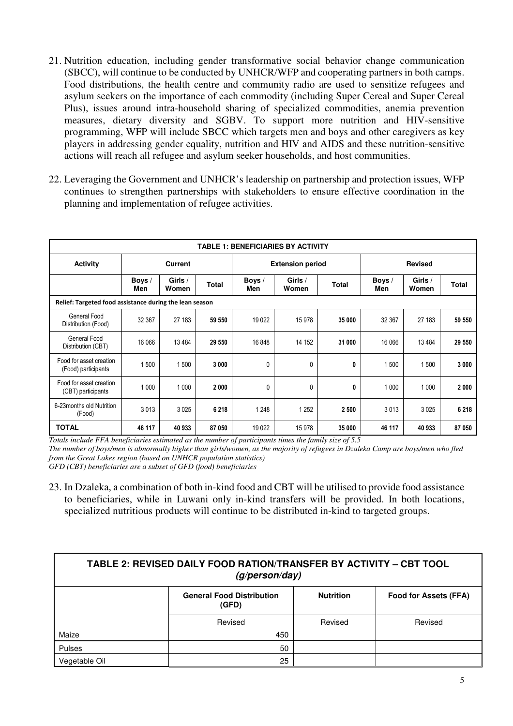- 21. Nutrition education, including gender transformative social behavior change communication (SBCC), will continue to be conducted by UNHCR/WFP and cooperating partners in both camps. Food distributions, the health centre and community radio are used to sensitize refugees and asylum seekers on the importance of each commodity (including Super Cereal and Super Cereal Plus), issues around intra-household sharing of specialized commodities, anemia prevention measures, dietary diversity and SGBV. To support more nutrition and HIV-sensitive programming, WFP will include SBCC which targets men and boys and other caregivers as key players in addressing gender equality, nutrition and HIV and AIDS and these nutrition-sensitive actions will reach all refugee and asylum seeker households, and host communities.
- 22. Leveraging the Government and UNHCR's leadership on partnership and protection issues, WFP continues to strengthen partnerships with stakeholders to ensure effective coordination in the planning and implementation of refugee activities.

| <b>TABLE 1: BENEFICIARIES BY ACTIVITY</b>               |                |                  |              |                         |                  |                |               |                  |              |
|---------------------------------------------------------|----------------|------------------|--------------|-------------------------|------------------|----------------|---------------|------------------|--------------|
| Activity                                                | <b>Current</b> |                  |              | <b>Extension period</b> |                  | <b>Revised</b> |               |                  |              |
|                                                         | Boys /<br>Men  | Girls /<br>Women | <b>Total</b> | Boys /<br>Men           | Girls /<br>Women | <b>Total</b>   | Boys /<br>Men | Girls /<br>Women | <b>Total</b> |
| Relief: Targeted food assistance during the lean season |                |                  |              |                         |                  |                |               |                  |              |
| General Food<br>Distribution (Food)                     | 32 367         | 27 183           | 59 550       | 19022                   | 15978            | 35 000         | 32 367        | 27 183           | 59 550       |
| General Food<br>Distribution (CBT)                      | 16 066         | 13 4 84          | 29 550       | 16848                   | 14 152           | 31 000         | 16 066        | 13 4 84          | 29 550       |
| Food for asset creation<br>(Food) participants          | 500            | 1 500            | 3 0 0 0      | $\mathbf{0}$            | $\mathbf{0}$     | 0              | 1500          | 1500             | 3 000        |
| Food for asset creation<br>(CBT) participants           | 1 0 0 0        | 1 0 0 0          | 2 0 0 0      | 0                       | $\mathbf{0}$     | 0              | 1 0 0 0       | 1 0 0 0          | 2 000        |
| 6-23 months old Nutrition<br>(Food)                     | 3013           | 3 0 2 5          | 6 2 18       | 1 2 4 8                 | 1 2 5 2          | 2 500          | 3013          | 3 0 25           | 6 2 18       |
| <b>TOTAL</b>                                            | 46 117         | 40 933           | 87 050       | 19 0 22                 | 15 978           | 35 000         | 46 117        | 40 933           | 87 050       |

*Totals include FFA beneficiaries estimated as the number of participants times the family size of 5.5 The number of boys/men is abnormally higher than girls/women, as the majority of refugees in Dzaleka Camp are boys/men who fled from the Great Lakes region (based on UNHCR population statistics) GFD (CBT) beneficiaries are a subset of GFD (food) beneficiaries* 

23. In Dzaleka, a combination of both in-kind food and CBT will be utilised to provide food assistance to beneficiaries, while in Luwani only in-kind transfers will be provided. In both locations, specialized nutritious products will continue to be distributed in-kind to targeted groups.

| <b>TABLE 2: REVISED DAILY FOOD RATION/TRANSFER BY ACTIVITY - CBT TOOL</b><br>(g/person/day) |                                           |                  |                              |  |
|---------------------------------------------------------------------------------------------|-------------------------------------------|------------------|------------------------------|--|
|                                                                                             | <b>General Food Distribution</b><br>(GFD) | <b>Nutrition</b> | <b>Food for Assets (FFA)</b> |  |
|                                                                                             | Revised                                   | Revised          | Revised                      |  |
| Maize                                                                                       | 450                                       |                  |                              |  |
| Pulses                                                                                      | 50                                        |                  |                              |  |
| Vegetable Oil                                                                               | 25                                        |                  |                              |  |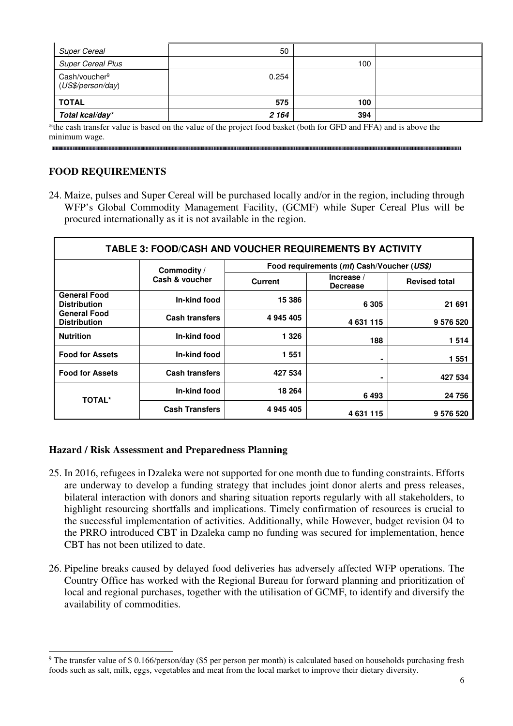| <b>Super Cereal</b>                            | 50      |     |  |
|------------------------------------------------|---------|-----|--|
| <b>Super Cereal Plus</b>                       |         | 100 |  |
| Cash/voucher <sup>9</sup><br>(US\$/person/day) | 0.254   |     |  |
| ∥ TOTAL                                        | 575     | 100 |  |
| Total kcal/day*                                | 2 1 6 4 | 394 |  |

\*the cash transfer value is based on the value of the project food basket (both for GFD and FFA) and is above the minimum wage.

#### **FOOD REQUIREMENTS**

 $\overline{a}$ 

24. Maize, pulses and Super Cereal will be purchased locally and/or in the region, including through WFP's Global Commodity Management Facility, (GCMF) while Super Cereal Plus will be procured internationally as it is not available in the region.

| <b>TABLE 3: FOOD/CASH AND VOUCHER REQUIREMENTS BY ACTIVITY</b> |                       |                                            |                               |                      |
|----------------------------------------------------------------|-----------------------|--------------------------------------------|-------------------------------|----------------------|
|                                                                | Commodity /           | Food requirements (mt) Cash/Voucher (US\$) |                               |                      |
|                                                                | Cash & voucher        | <b>Current</b>                             | Increase /<br><b>Decrease</b> | <b>Revised total</b> |
| <b>General Food</b><br><b>Distribution</b>                     | In-kind food          | 15 386                                     | 6 3 0 5                       | 21 691               |
| <b>General Food</b><br><b>Distribution</b>                     | <b>Cash transfers</b> | 4 945 405                                  | 4631115                       | 9 576 520            |
| <b>Nutrition</b>                                               | In-kind food          | 1 3 2 6                                    | 188                           | 1514                 |
| <b>Food for Assets</b>                                         | In-kind food          | 1551                                       | $\blacksquare$                | 1551                 |
| <b>Food for Assets</b>                                         | <b>Cash transfers</b> | 427 534                                    | $\blacksquare$                | 427 534              |
| <b>TOTAL*</b>                                                  | In-kind food          | 18 264                                     | 6493                          | 24 756               |
|                                                                | <b>Cash Transfers</b> | 4 945 405                                  | 4631115                       | 9 576 520            |

#### **Hazard / Risk Assessment and Preparedness Planning**

- 25. In 2016, refugees in Dzaleka were not supported for one month due to funding constraints. Efforts are underway to develop a funding strategy that includes joint donor alerts and press releases, bilateral interaction with donors and sharing situation reports regularly with all stakeholders, to highlight resourcing shortfalls and implications. Timely confirmation of resources is crucial to the successful implementation of activities. Additionally, while However, budget revision 04 to the PRRO introduced CBT in Dzaleka camp no funding was secured for implementation, hence CBT has not been utilized to date.
- 26. Pipeline breaks caused by delayed food deliveries has adversely affected WFP operations. The Country Office has worked with the Regional Bureau for forward planning and prioritization of local and regional purchases, together with the utilisation of GCMF, to identify and diversify the availability of commodities.

<sup>&</sup>lt;sup>9</sup> The transfer value of \$ 0.166/person/day (\$5 per person per month) is calculated based on households purchasing fresh foods such as salt, milk, eggs, vegetables and meat from the local market to improve their dietary diversity.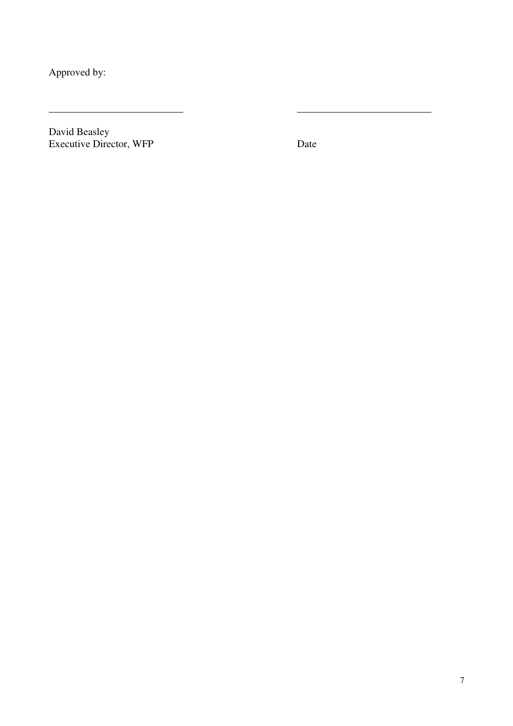Approved by:

David Beasley Executive Director, WFP Date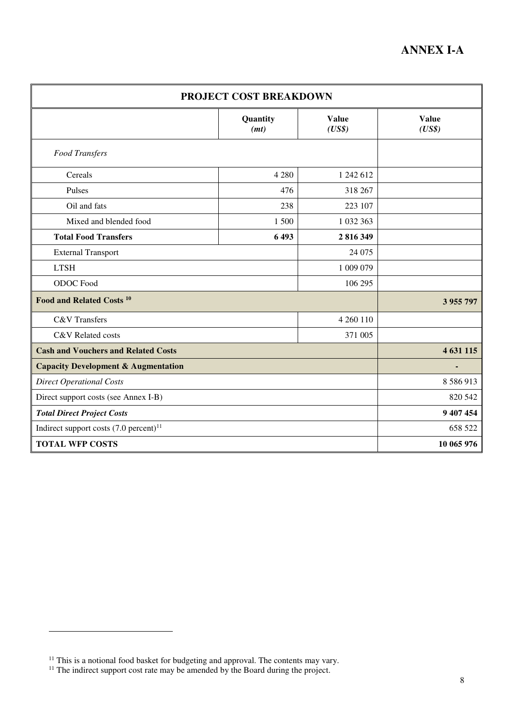| PROJECT COST BREAKDOWN                              |                  |                        |                        |  |
|-----------------------------------------------------|------------------|------------------------|------------------------|--|
|                                                     | Quantity<br>(mt) | <b>Value</b><br>(US\$) | <b>Value</b><br>(US\$) |  |
| Food Transfers                                      |                  |                        |                        |  |
| Cereals                                             | 4 2 8 0          | 1 242 612              |                        |  |
| Pulses                                              | 476              | 318 267                |                        |  |
| Oil and fats                                        | 238              | 223 107                |                        |  |
| Mixed and blended food                              | 1 500            | 1 032 363              |                        |  |
| <b>Total Food Transfers</b>                         | 6493             | 2 816 349              |                        |  |
| <b>External Transport</b>                           |                  | 24 075                 |                        |  |
| <b>LTSH</b>                                         |                  | 1 009 079              |                        |  |
| <b>ODOC</b> Food                                    |                  | 106 295                |                        |  |
| Food and Related Costs <sup>10</sup>                |                  | 3 955 797              |                        |  |
| <b>C&amp;V</b> Transfers                            |                  | 4 260 110              |                        |  |
| C&V Related costs                                   |                  | 371 005                |                        |  |
| <b>Cash and Vouchers and Related Costs</b>          |                  |                        | 4 631 115              |  |
| <b>Capacity Development &amp; Augmentation</b>      |                  |                        |                        |  |
| <b>Direct Operational Costs</b>                     |                  |                        | 8 5 8 6 9 1 3          |  |
| Direct support costs (see Annex I-B)                |                  | 820 542                |                        |  |
| <b>Total Direct Project Costs</b>                   |                  | 9 407 454              |                        |  |
| Indirect support costs $(7.0 \text{ percent})^{11}$ |                  | 658 522                |                        |  |
| <b>TOTAL WFP COSTS</b>                              |                  |                        | 10 065 976             |  |

 $11$  This is a notional food basket for budgeting and approval. The contents may vary.

 $11$  The indirect support cost rate may be amended by the Board during the project.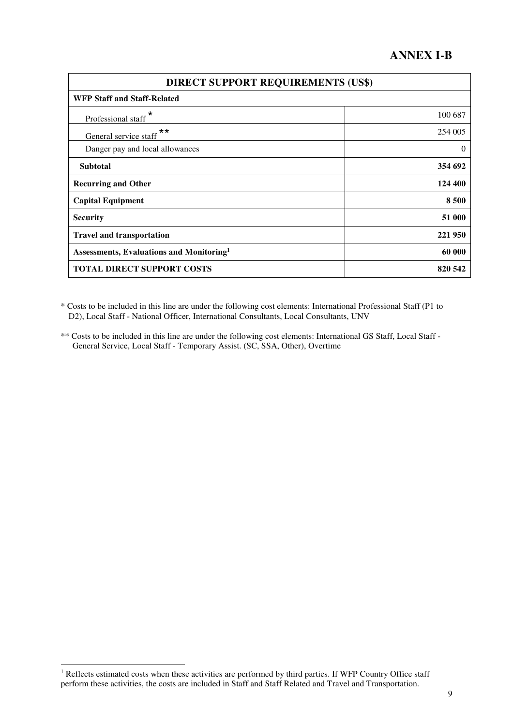### **ANNEX I-B**

| <b>DIRECT SUPPORT REQUIREMENTS (US\$)</b>            |          |  |
|------------------------------------------------------|----------|--|
| <b>WFP Staff and Staff-Related</b>                   |          |  |
| Professional staff <sup>*</sup>                      | 100 687  |  |
| General service staff <sup>**</sup>                  | 254 005  |  |
| Danger pay and local allowances                      | $\theta$ |  |
| <b>Subtotal</b>                                      | 354 692  |  |
| <b>Recurring and Other</b>                           | 124 400  |  |
| <b>Capital Equipment</b>                             | 8 500    |  |
| <b>Security</b>                                      | 51 000   |  |
| <b>Travel and transportation</b>                     | 221950   |  |
| Assessments, Evaluations and Monitoring <sup>1</sup> | 60 000   |  |
| <b>TOTAL DIRECT SUPPORT COSTS</b>                    | 820 542  |  |

\* Costs to be included in this line are under the following cost elements: International Professional Staff (P1 to D2), Local Staff - National Officer, International Consultants, Local Consultants, UNV

\*\* Costs to be included in this line are under the following cost elements: International GS Staff, Local Staff - General Service, Local Staff - Temporary Assist. (SC, SSA, Other), Overtime

<sup>&</sup>lt;sup>1</sup> Reflects estimated costs when these activities are performed by third parties. If WFP Country Office staff perform these activities, the costs are included in Staff and Staff Related and Travel and Transportation.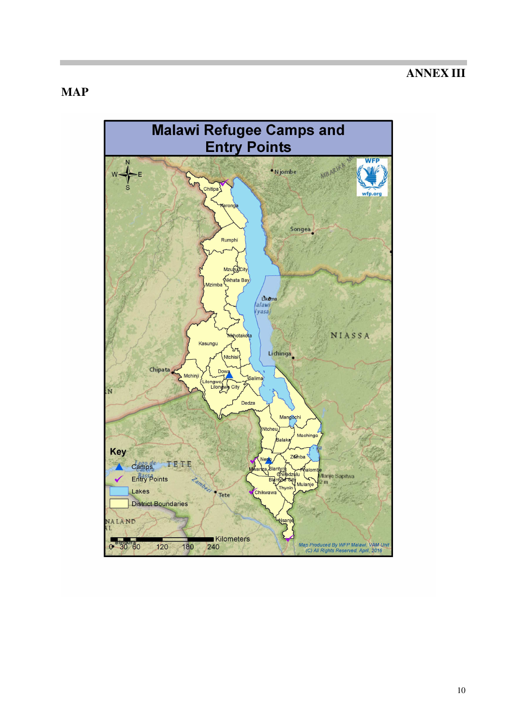## **ANNEX III**

## **MAP**